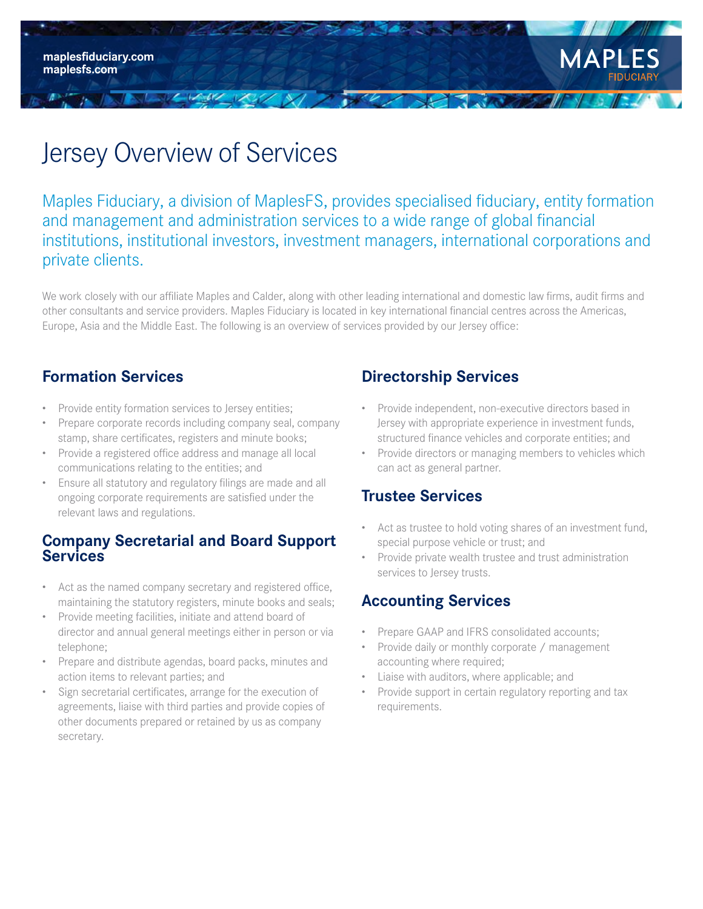**maplesfiduciary.com maplesfs.com**



# Jersey Overview of Services

14 112 123 / N/ 1

Maples Fiduciary, a division of MaplesFS, provides specialised fiduciary, entity formation and management and administration services to a wide range of global financial institutions, institutional investors, investment managers, international corporations and private clients.

We work closely with our affiliate Maples and Calder, along with other leading international and domestic law firms, audit firms and other consultants and service providers. Maples Fiduciary is located in key international financial centres across the Americas, Europe, Asia and the Middle East. The following is an overview of services provided by our Jersey office:

# **Formation Services**

- Provide entity formation services to Jersey entities;
- Prepare corporate records including company seal, company stamp, share certificates, registers and minute books;
- Provide a registered office address and manage all local communications relating to the entities; and
- Ensure all statutory and regulatory filings are made and all ongoing corporate requirements are satisfied under the relevant laws and regulations.

#### **Company Secretarial and Board Support Services**

- Act as the named company secretary and registered office, maintaining the statutory registers, minute books and seals;
- Provide meeting facilities, initiate and attend board of director and annual general meetings either in person or via telephone;
- Prepare and distribute agendas, board packs, minutes and action items to relevant parties; and
- Sign secretarial certificates, arrange for the execution of agreements, liaise with third parties and provide copies of other documents prepared or retained by us as company secretary.

## **Directorship Services**

 $\mathcal{L}$  in the state of  $\mathcal{L}$ 

- Provide independent, non-executive directors based in Jersey with appropriate experience in investment funds, structured finance vehicles and corporate entities; and
- Provide directors or managing members to vehicles which can act as general partner.

## **Trustee Services**

- Act as trustee to hold voting shares of an investment fund, special purpose vehicle or trust; and
- Provide private wealth trustee and trust administration services to Jersey trusts.

# **Accounting Services**

- Prepare GAAP and IFRS consolidated accounts;
- Provide daily or monthly corporate / management accounting where required;
- Liaise with auditors, where applicable; and
- Provide support in certain regulatory reporting and tax requirements.